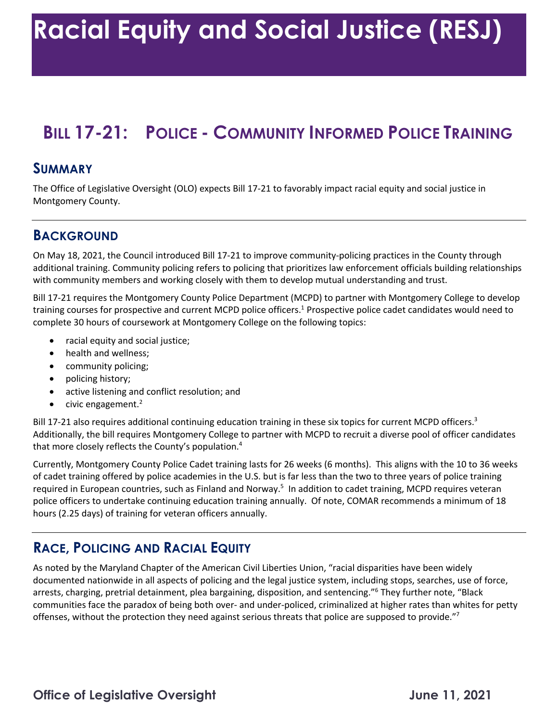# **BILL 17-21: POLICE - COMMUNITY INFORMED POLICE TRAINING**

#### **SUMMARY**

 The Office of Legislative Oversight (OLO) expects Bill 17-21 to favorably impact racial equity and social justice in Montgomery County.

#### **BACKGROUND**

 On May 18, 2021, the Council introduced Bill 17-21 to improve community-policing practices in the County through with community members and working closely with them to develop mutual understanding and trust. additional training. Community policing refers to policing that prioritizes law enforcement officials building relationships

 Bill 17-21 requires the Montgomery County Police Department (MCPD) to partner with Montgomery College to develop complete 30 hours of coursework at Montgomery College on the following topics: training courses for prospective and current MCPD police officers.<sup>1</sup> Prospective police cadet candidates would need to

- racial equity and social justice;
- health and wellness;
- community policing;
- policing history;
- active listening and conflict resolution; and
- civic engagement. $2$

Bill 17-21 also requires additional continuing education training in these six topics for current MCPD officers.<sup>3</sup> Additionally, the bill requires Montgomery College to partner with MCPD to recruit a diverse pool of officer candidates that more closely reflects the County's population. 4

 Currently, Montgomery County Police Cadet training lasts for 26 weeks (6 months). This aligns with the 10 to 36 weeks of cadet training offered by police academies in the U.S. but is far less than the two to three years of police training required in European countries, such as Finland and Norway.<sup>5</sup> In addition to cadet training, MCPD requires veteran police officers to undertake continuing education training annually. Of note, COMAR recommends a minimum of 18 hours (2.25 days) of training for veteran officers annually.

### **RACE, POLICING AND RACIAL EQUITY**

 As noted by the Maryland Chapter of the American Civil Liberties Union, "racial disparities have been widely documented nationwide in all aspects of policing and the legal justice system, including stops, searches, use of force, communities face the paradox of being both over- and under-policed, criminalized at higher rates than whites for petty arrests, charging, pretrial detainment, plea bargaining, disposition, and sentencing."<sup>6</sup> They further note, "Black offenses, without the protection they need against serious threats that police are supposed to provide."<sup>7</sup>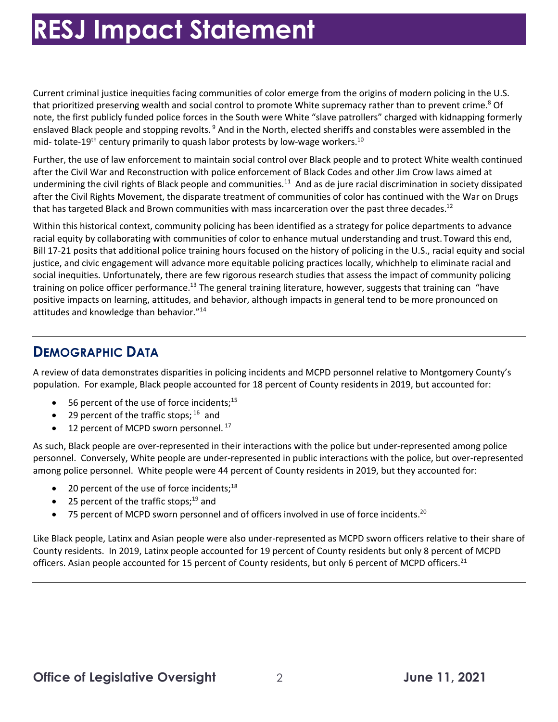# **RESJ Impact Statement**

 Current criminal justice inequities facing communities of color emerge from the origins of modern policing in the U.S. that prioritized preserving wealth and social control to promote White supremacy rather than to prevent crime.<sup>8</sup> Of note, the first publicly funded police forces in the South were White "slave patrollers" charged with kidnapping formerly enslaved Black people and stopping revolts.<sup>9</sup> And in the North, elected sheriffs and constables were assembled in the mid- tolate-19<sup>th</sup> century primarily to quash labor protests by low-wage workers.<sup>10</sup>

 Further, the use of law enforcement to maintain social control over Black people and to protect White wealth continued after the Civil War and Reconstruction with police enforcement of Black Codes and other Jim Crow laws aimed at undermining the civil rights of Black people and [communities.](https://communities.11)<sup>11</sup> And as de jure racial discrimination in society dissipated after the Civil Rights Movement, the disparate treatment of communities of color has continued with the War on Drugs that has targeted Black and Brown communities with mass incarceration over the past three decades.<sup>12</sup>

 Within this historical context, community policing has been identified as a strategy for police departments to advance racial equity by collaborating with communities of color to enhance mutual understanding and trust. Toward this end, Bill 17-21 posits that additional police training hours focused on the history of policing in the U.S., racial equity and social training on police officer performance.<sup>13</sup> The general training literature, however, suggests that training can "have positive impacts on learning, attitudes, and behavior, although impacts in general tend to be more pronounced on justice, and civic engagement will advance more equitable policing practices locally, whichhelp to eliminate racial and social inequities. Unfortunately, there are few rigorous research studies that assess the impact of community policing attitudes and knowledge than behavior."<sup>14</sup>

### **DEMOGRAPHIC DATA**

 A review of data demonstrates disparities in policing incidents and MCPD personnel relative to Montgomery County's population. For example, Black people accounted for 18 percent of County residents in 2019, but accounted for:

- $\bullet$  56 percent of the use of force incidents;<sup>15</sup>
- 29 percent of the traffic stops;  $16$  and
- $\bullet$  12 percent of MCPD sworn personnel.<sup>17</sup>

 As such, Black people are over-represented in their interactions with the police but under-represented among police personnel. Conversely, White people are under-represented in public interactions with the police, but over-represented among police personnel. White people were 44 percent of County residents in 2019, but they accounted for:

- $\bullet$  20 percent of the use of force incidents;<sup>18</sup>
- 25 percent of the traffic stops; $^{19}$  and
- 75 percent of MCPD sworn personnel and of officers involved in use of force incidents.<sup>20</sup>

 Like Black people, Latinx and Asian people were also under-represented as MCPD sworn officers relative to their share of County residents. In 2019, Latinx people accounted for 19 percent of County residents but only 8 percent of MCPD officers. Asian people accounted for 15 percent of County residents, but only 6 percent of MCPD officers.<sup>21</sup>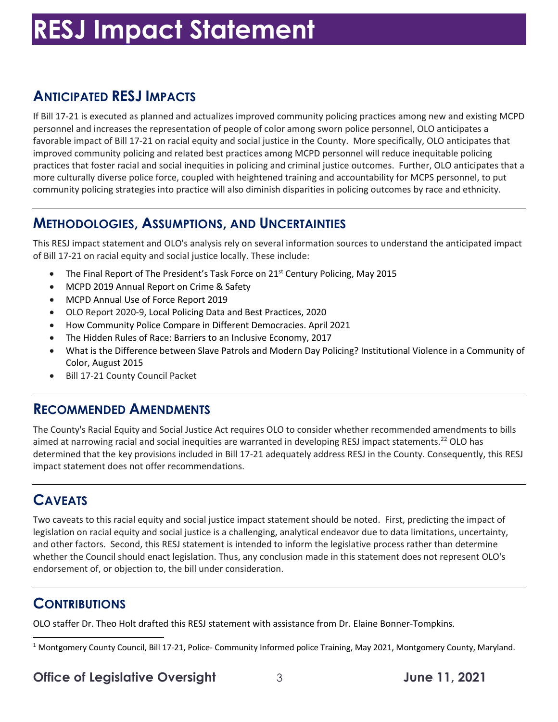# **RESJ Impact Statement**

## **ANTICIPATED RESJ IMPACTS**

 If Bill 17-21 is executed as planned and actualizes improved community policing practices among new and existing MCPD personnel and increases the representation of people of color among sworn police personnel, OLO anticipates a favorable impact of Bill 17-21 on racial equity and social justice in the County. More specifically, OLO anticipates that improved community policing and related best practices among MCPD personnel will reduce inequitable policing practices that foster racial and social inequities in policing and criminal justice outcomes. Further, OLO anticipates that a more culturally diverse police force, coupled with heightened training and accountability for MCPS personnel, to put community policing strategies into practice will also diminish disparities in policing outcomes by race and ethnicity.

### **METHODOLOGIES, ASSUMPTIONS, AND UNCERTAINTIES**

 This RESJ impact statement and OLO's analysis rely on several information sources to understand the anticipated impact of Bill 17-21 on racial equity and social justice locally. These include:

- The Final Report of The President's Task Force on 21<sup>st</sup> Century Policing, May 2015
- MCPD 2019 Annual Report on Crime & Safety
- MCPD Annual Use of Force Report 2019
- OLO Report 2020-9, Local Policing Data and Best Practices, 2020
- How Community Police Compare in Different Democracies. April 2021
- The Hidden Rules of Race: Barriers to an Inclusive Economy, 2017
- • What is the Difference between Slave Patrols and Modern Day Policing? Institutional Violence in a Community of Color, August 2015
- Bill 17-21 County Council Packet

#### **RECOMMENDED AMENDMENTS**

 The County's Racial Equity and Social Justice Act requires OLO to consider whether recommended amendments to bills aimed at narrowing racial and social inequities are warranted in developing RESJ impact statements.<sup>22</sup> OLO has determined that the key provisions included in Bill 17-21 adequately address RESJ in the County. Consequently, this RESJ impact statement does not offer recommendations.

# **CAVEATS**

 Two caveats to this racial equity and social justice impact statement should be noted. First, predicting the impact of and other factors. Second, this RESJ statement is intended to inform the legislative process rather than determine whether the Council should enact legislation. Thus, any conclusion made in this statement does not represent OLO's endorsement of, or objection to, the bill under consideration. legislation on racial equity and social justice is a challenging, analytical endeavor due to data limitations, uncertainty,

### **CONTRIBUTIONS**

OLO staffer Dr. Theo Holt drafted this RESJ statement with assistance from Dr. Elaine Bonner-Tompkins.

 $1$  Montgomery County Council, Bill 17-21, Police- Community Informed police Training, May 2021, Montgomery County, Maryland.